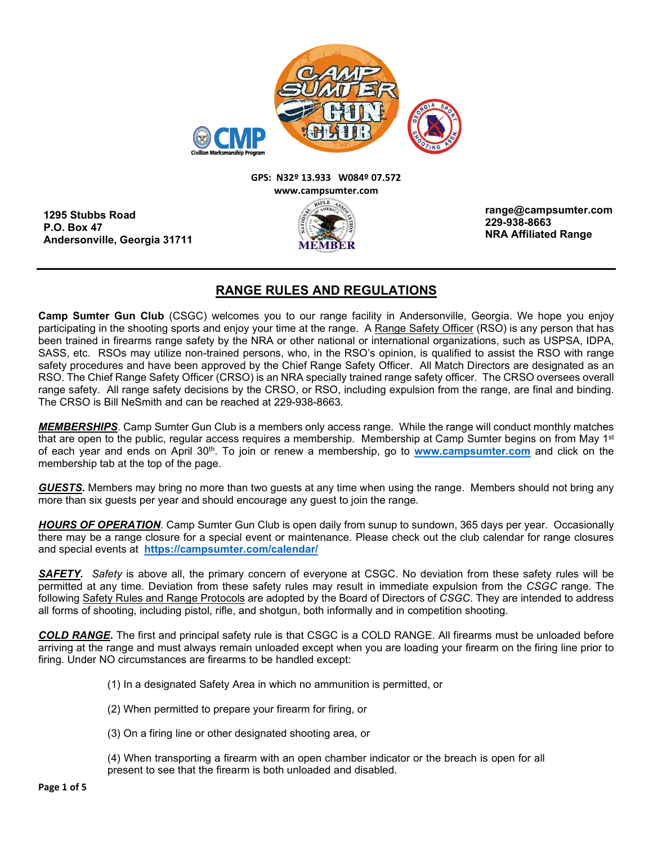

## **GPS: N32º 13.933 W084º 07.572 www.campsumter.com**

**1295 Stubbs Road P.O. Box 47 Andersonville, Georgia 31711**

**range@campsumter.com 229-938-8663 NRA Affiliated Range**

## **RANGE RULES AND REGULATIONS**

**Camp Sumter Gun Club** (CSGC) welcomes you to our range facility in Andersonville, Georgia. We hope you enjoy participating in the shooting sports and enjoy your time at the range. A Range Safety Officer (RSO) is any person that has been trained in firearms range safety by the NRA or other national or international organizations, such as USPSA, IDPA, SASS, etc. RSOs may utilize non-trained persons, who, in the RSO's opinion, is qualified to assist the RSO with range safety procedures and have been approved by the Chief Range Safety Officer. All Match Directors are designated as an RSO. The Chief Range Safety Officer (CRSO) is an NRA specially trained range safety officer. The CRSO oversees overall range safety. All range safety decisions by the CRSO, or RSO, including expulsion from the range, are final and binding. The CRSO is Bill NeSmith and can be reached at 229-938-8663.

*MEMBERSHIPS*. Camp Sumter Gun Club is a members only access range. While the range will conduct monthly matches that are open to the public, regular access reguires a membership. Membership at Camp Sumter begins on from May 1<sup>st</sup> of each year and ends on April 30th. To join or renew a membership, go to **[www.campsumter.com](http://www.campsumter.com/)** and click on the membership tab at the top of the page.

*GUESTS.* Members may bring no more than two guests at any time when using the range. Members should not bring any more than six guests per year and should encourage any guest to join the range.

*HOURS OF OPERATION*. Camp Sumter Gun Club is open daily from sunup to sundown, 365 days per year. Occasionally there may be a range closure for a special event or maintenance. Please check out the club calendar for range closures and special events at **<https://campsumter.com/calendar/>**

*SAFETY. Safety* is above all, the primary concern of everyone at CSGC. No deviation from these safety rules will be permitted at any time. Deviation from these safety rules may result in immediate expulsion from the *CSGC* range. The following Safety Rules and Range Protocols are adopted by the Board of Directors of *CSGC*. They are intended to address all forms of shooting, including pistol, rifle, and shotgun, both informally and in competition shooting.

*COLD RANGE***.** The first and principal safety rule is that CSGC is a COLD RANGE. All firearms must be unloaded before arriving at the range and must always remain unloaded except when you are loading your firearm on the firing line prior to firing. Under NO circumstances are firearms to be handled except:

- (1) In a designated Safety Area in which no ammunition is permitted, or
- (2) When permitted to prepare your firearm for firing, or
- (3) On a firing line or other designated shooting area, or

(4) When transporting a firearm with an open chamber indicator or the breach is open for all present to see that the firearm is both unloaded and disabled.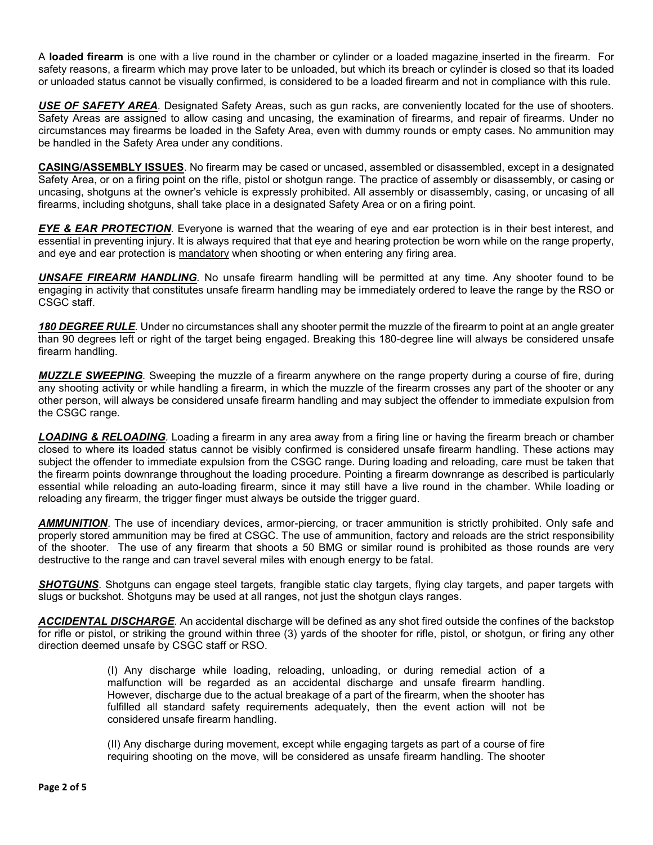A **loaded firearm** is one with a live round in the chamber or cylinder or a loaded magazine inserted in the firearm. For safety reasons, a firearm which may prove later to be unloaded, but which its breach or cylinder is closed so that its loaded or unloaded status cannot be visually confirmed, is considered to be a loaded firearm and not in compliance with this rule.

*USE OF SAFETY AREA.* Designated Safety Areas, such as gun racks, are conveniently located for the use of shooters. Safety Areas are assigned to allow casing and uncasing, the examination of firearms, and repair of firearms. Under no circumstances may firearms be loaded in the Safety Area, even with dummy rounds or empty cases. No ammunition may be handled in the Safety Area under any conditions.

**CASING/ASSEMBLY ISSUES**. No firearm may be cased or uncased, assembled or disassembled, except in a designated Safety Area, or on a firing point on the rifle, pistol or shotgun range. The practice of assembly or disassembly, or casing or uncasing, shotguns at the owner's vehicle is expressly prohibited. All assembly or disassembly, casing, or uncasing of all firearms, including shotguns, shall take place in a designated Safety Area or on a firing point.

*EYE & EAR PROTECTION.* Everyone is warned that the wearing of eye and ear protection is in their best interest, and essential in preventing injury. It is always required that that eye and hearing protection be worn while on the range property, and eye and ear protection is mandatory when shooting or when entering any firing area.

*UNSAFE FIREARM HANDLING.* No unsafe firearm handling will be permitted at any time. Any shooter found to be engaging in activity that constitutes unsafe firearm handling may be immediately ordered to leave the range by the RSO or CSGC staff.

*180 DEGREE RULE.* Under no circumstances shall any shooter permit the muzzle of the firearm to point at an angle greater than 90 degrees left or right of the target being engaged. Breaking this 180-degree line will always be considered unsafe firearm handling.

*MUZZLE SWEEPING.* Sweeping the muzzle of a firearm anywhere on the range property during a course of fire, during any shooting activity or while handling a firearm, in which the muzzle of the firearm crosses any part of the shooter or any other person, will always be considered unsafe firearm handling and may subject the offender to immediate expulsion from the CSGC range.

*LOADING & RELOADING.* Loading a firearm in any area away from a firing line or having the firearm breach or chamber closed to where its loaded status cannot be visibly confirmed is considered unsafe firearm handling. These actions may subject the offender to immediate expulsion from the CSGC range. During loading and reloading, care must be taken that the firearm points downrange throughout the loading procedure. Pointing a firearm downrange as described is particularly essential while reloading an auto-loading firearm, since it may still have a live round in the chamber. While loading or reloading any firearm, the trigger finger must always be outside the trigger guard.

*AMMUNITION*. The use of incendiary devices, armor-piercing, or tracer ammunition is strictly prohibited. Only safe and properly stored ammunition may be fired at CSGC. The use of ammunition, factory and reloads are the strict responsibility of the shooter. The use of any firearm that shoots a 50 BMG or similar round is prohibited as those rounds are very destructive to the range and can travel several miles with enough energy to be fatal.

*SHOTGUNS*. Shotguns can engage steel targets, frangible static clay targets, flying clay targets, and paper targets with slugs or buckshot. Shotguns may be used at all ranges, not just the shotgun clays ranges.

*ACCIDENTAL DISCHARGE.* An accidental discharge will be defined as any shot fired outside the confines of the backstop for rifle or pistol, or striking the ground within three (3) yards of the shooter for rifle, pistol, or shotgun, or firing any other direction deemed unsafe by CSGC staff or RSO.

> (I) Any discharge while loading, reloading, unloading, or during remedial action of a malfunction will be regarded as an accidental discharge and unsafe firearm handling. However, discharge due to the actual breakage of a part of the firearm, when the shooter has fulfilled all standard safety requirements adequately, then the event action will not be considered unsafe firearm handling.

> (II) Any discharge during movement, except while engaging targets as part of a course of fire requiring shooting on the move, will be considered as unsafe firearm handling. The shooter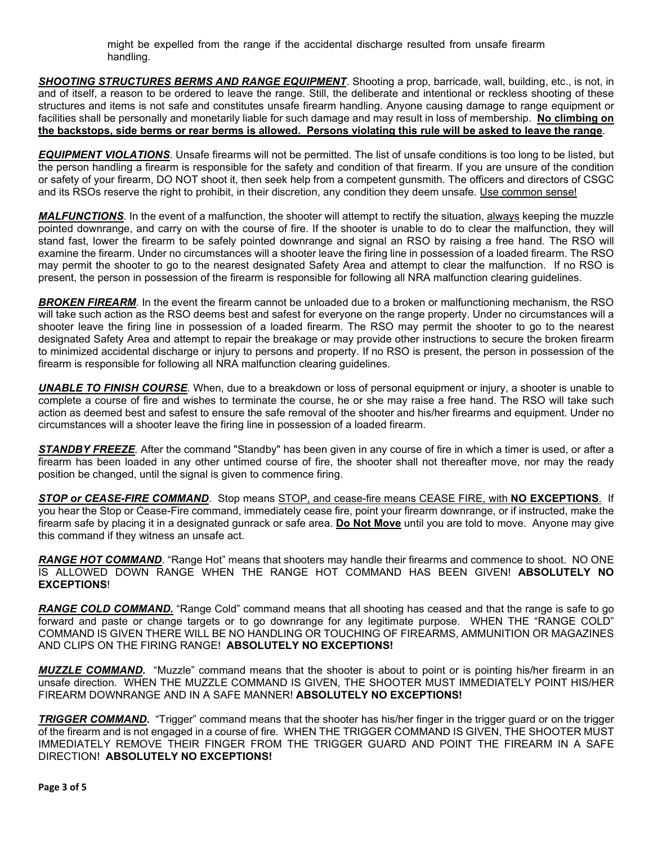might be expelled from the range if the accidental discharge resulted from unsafe firearm handling.

*SHOOTING STRUCTURES BERMS AND RANGE EQUIPMENT*. Shooting a prop, barricade, wall, building, etc., is not, in and of itself, a reason to be ordered to leave the range. Still, the deliberate and intentional or reckless shooting of these structures and items is not safe and constitutes unsafe firearm handling. Anyone causing damage to range equipment or facilities shall be personally and monetarily liable for such damage and may result in loss of membership. **No climbing on the backstops, side berms or rear berms is allowed. Persons violating this rule will be asked to leave the range**.

*EQUIPMENT VIOLATIONS.* Unsafe firearms will not be permitted. The list of unsafe conditions is too long to be listed, but the person handling a firearm is responsible for the safety and condition of that firearm. If you are unsure of the condition or safety of your firearm, DO NOT shoot it, then seek help from a competent gunsmith. The officers and directors of CSGC and its RSOs reserve the right to prohibit, in their discretion, any condition they deem unsafe. Use common sense!

*MALFUNCTIONS.* In the event of a malfunction, the shooter will attempt to rectify the situation, always keeping the muzzle pointed downrange, and carry on with the course of fire. If the shooter is unable to do to clear the malfunction, they will stand fast, lower the firearm to be safely pointed downrange and signal an RSO by raising a free hand. The RSO will examine the firearm. Under no circumstances will a shooter leave the firing line in possession of a loaded firearm. The RSO may permit the shooter to go to the nearest designated Safety Area and attempt to clear the malfunction. If no RSO is present, the person in possession of the firearm is responsible for following all NRA malfunction clearing guidelines.

**BROKEN FIREARM**. In the event the firearm cannot be unloaded due to a broken or malfunctioning mechanism, the RSO will take such action as the RSO deems best and safest for everyone on the range property. Under no circumstances will a shooter leave the firing line in possession of a loaded firearm. The RSO may permit the shooter to go to the nearest designated Safety Area and attempt to repair the breakage or may provide other instructions to secure the broken firearm to minimized accidental discharge or injury to persons and property. If no RSO is present, the person in possession of the firearm is responsible for following all NRA malfunction clearing guidelines.

*UNABLE TO FINISH COURSE*. When, due to a breakdown or loss of personal equipment or injury, a shooter is unable to complete a course of fire and wishes to terminate the course, he or she may raise a free hand. The RSO will take such action as deemed best and safest to ensure the safe removal of the shooter and his/her firearms and equipment. Under no circumstances will a shooter leave the firing line in possession of a loaded firearm.

*STANDBY FREEZE.* After the command "Standby" has been given in any course of fire in which a timer is used, or after a firearm has been loaded in any other untimed course of fire, the shooter shall not thereafter move, nor may the ready position be changed, until the signal is given to commence firing.

*STOP or CEASE-FIRE COMMAND*. Stop means STOP, and cease-fire means CEASE FIRE, with **NO EXCEPTIONS**. If you hear the Stop or Cease-Fire command, immediately cease fire, point your firearm downrange, or if instructed, make the firearm safe by placing it in a designated gunrack or safe area. **Do Not Move** until you are told to move. Anyone may give this command if they witness an unsafe act.

*RANGE HOT COMMAND*. "Range Hot" means that shooters may handle their firearms and commence to shoot. NO ONE IS ALLOWED DOWN RANGE WHEN THE RANGE HOT COMMAND HAS BEEN GIVEN! **ABSOLUTELY NO EXCEPTIONS**!

*RANGE COLD COMMAND.* "Range Cold" command means that all shooting has ceased and that the range is safe to go forward and paste or change targets or to go downrange for any legitimate purpose. WHEN THE "RANGE COLD" COMMAND IS GIVEN THERE WILL BE NO HANDLING OR TOUCHING OF FIREARMS, AMMUNITION OR MAGAZINES AND CLIPS ON THE FIRING RANGE! **ABSOLUTELY NO EXCEPTIONS!** 

*MUZZLE COMMAND***.** "Muzzle" command means that the shooter is about to point or is pointing his/her firearm in an unsafe direction. WHEN THE MUZZLE COMMAND IS GIVEN, THE SHOOTER MUST IMMEDIATELY POINT HIS/HER FIREARM DOWNRANGE AND IN A SAFE MANNER! **ABSOLUTELY NO EXCEPTIONS!** 

**TRIGGER COMMAND.** "Trigger" command means that the shooter has his/her finger in the trigger guard or on the trigger of the firearm and is not engaged in a course of fire. WHEN THE TRIGGER COMMAND IS GIVEN, THE SHOOTER MUST IMMEDIATELY REMOVE THEIR FINGER FROM THE TRIGGER GUARD AND POINT THE FIREARM IN A SAFE DIRECTION! **ABSOLUTELY NO EXCEPTIONS!**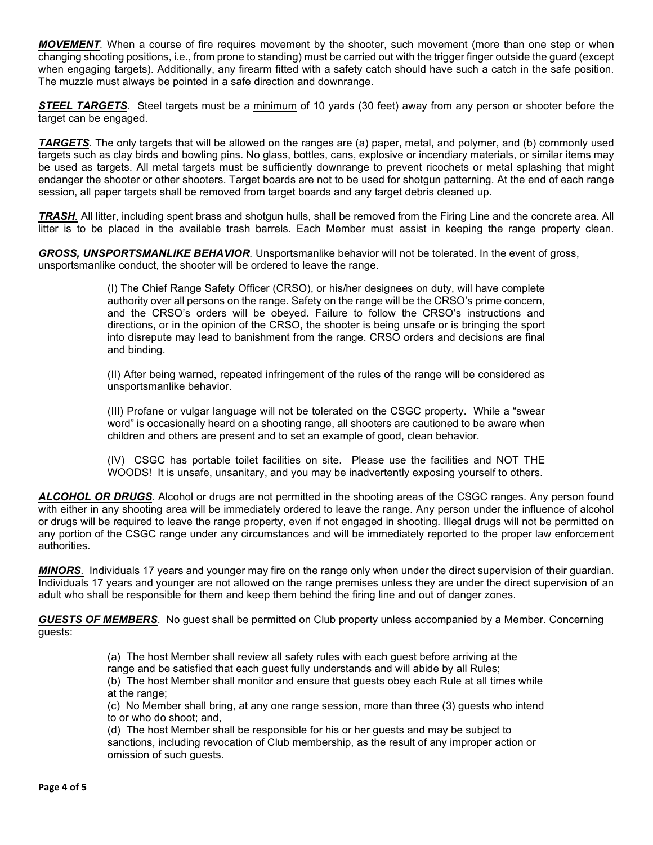*MOVEMENT.* When a course of fire requires movement by the shooter, such movement (more than one step or when changing shooting positions, i.e., from prone to standing) must be carried out with the trigger finger outside the guard (except when engaging targets). Additionally, any firearm fitted with a safety catch should have such a catch in the safe position. The muzzle must always be pointed in a safe direction and downrange.

*STEEL TARGETS*. Steel targets must be a minimum of 10 yards (30 feet) away from any person or shooter before the target can be engaged.

**TARGETS**. The only targets that will be allowed on the ranges are (a) paper, metal, and polymer, and (b) commonly used targets such as clay birds and bowling pins. No glass, bottles, cans, explosive or incendiary materials, or similar items may be used as targets. All metal targets must be sufficiently downrange to prevent ricochets or metal splashing that might endanger the shooter or other shooters. Target boards are not to be used for shotgun patterning. At the end of each range session, all paper targets shall be removed from target boards and any target debris cleaned up.

*TRASH.* All litter, including spent brass and shotgun hulls, shall be removed from the Firing Line and the concrete area. All litter is to be placed in the available trash barrels. Each Member must assist in keeping the range property clean.

*GROSS, UNSPORTSMANLIKE BEHAVIOR.* Unsportsmanlike behavior will not be tolerated. In the event of gross, unsportsmanlike conduct, the shooter will be ordered to leave the range.

> (I) The Chief Range Safety Officer (CRSO), or his/her designees on duty, will have complete authority over all persons on the range. Safety on the range will be the CRSO's prime concern, and the CRSO's orders will be obeyed. Failure to follow the CRSO's instructions and directions, or in the opinion of the CRSO, the shooter is being unsafe or is bringing the sport into disrepute may lead to banishment from the range. CRSO orders and decisions are final and binding.

> (II) After being warned, repeated infringement of the rules of the range will be considered as unsportsmanlike behavior.

> (III) Profane or vulgar language will not be tolerated on the CSGC property. While a "swear word" is occasionally heard on a shooting range, all shooters are cautioned to be aware when children and others are present and to set an example of good, clean behavior.

> (IV) CSGC has portable toilet facilities on site. Please use the facilities and NOT THE WOODS! It is unsafe, unsanitary, and you may be inadvertently exposing yourself to others.

*ALCOHOL OR DRUGS.* Alcohol or drugs are not permitted in the shooting areas of the CSGC ranges. Any person found with either in any shooting area will be immediately ordered to leave the range. Any person under the influence of alcohol or drugs will be required to leave the range property, even if not engaged in shooting. Illegal drugs will not be permitted on any portion of the CSGC range under any circumstances and will be immediately reported to the proper law enforcement authorities.

*MINORS.* Individuals 17 years and younger may fire on the range only when under the direct supervision of their guardian. Individuals 17 years and younger are not allowed on the range premises unless they are under the direct supervision of an adult who shall be responsible for them and keep them behind the firing line and out of danger zones.

*GUESTS OF MEMBERS*. No guest shall be permitted on Club property unless accompanied by a Member. Concerning guests:

(a) The host Member shall review all safety rules with each guest before arriving at the

range and be satisfied that each guest fully understands and will abide by all Rules;

(b) The host Member shall monitor and ensure that guests obey each Rule at all times while at the range;

(c) No Member shall bring, at any one range session, more than three (3) guests who intend to or who do shoot; and,

(d) The host Member shall be responsible for his or her guests and may be subject to sanctions, including revocation of Club membership, as the result of any improper action or omission of such guests.